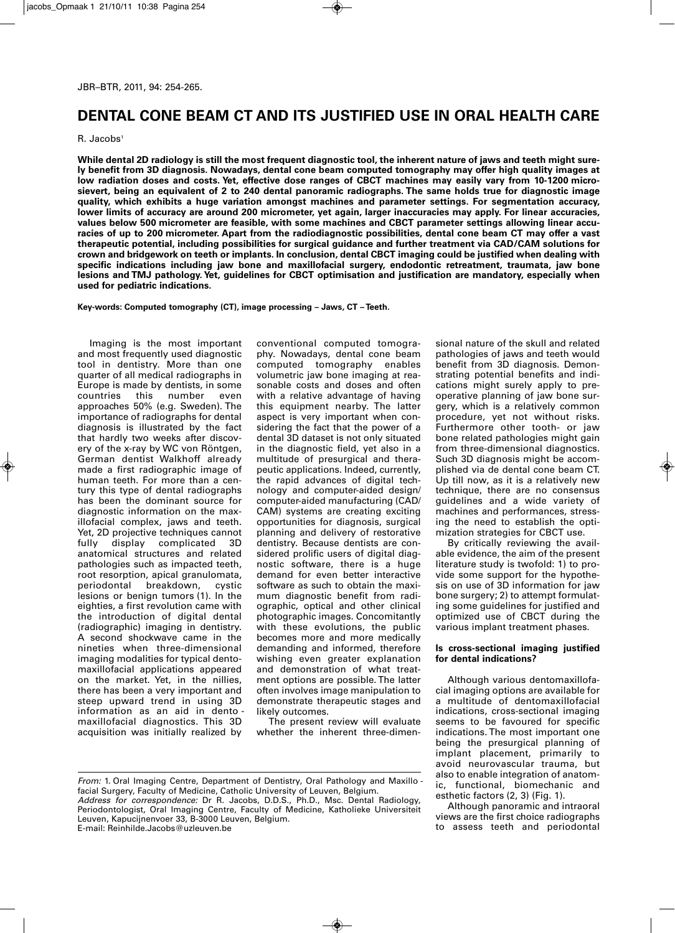# **DENTAL CONE BEAM CT AND ITS JUSTIFIED USE IN ORAL HEALTH CARE**

R. Jacobs<sup>1</sup>

**While dental 2D radiology is still the most frequent diagnostic tool, the inherent nature of jaws and teeth might surely benefit from 3D diagnosis. Nowadays, dental cone beam computed tomography may offer high quality images at** low radiation doses and costs. Yet, effective dose ranges of CBCT machines may easily vary from 10-1200 micro**sievert, being an equivalent of 2 to 240 dental panoramic radiographs. The same holds true for diagnostic image quality, which exhibits a huge variation amongst machines and parameter settings. For segmentation accuracy, lower limits of accuracy are around 200 micrometer, yet again, larger inaccuracies may apply. For linear accuracies, values below 500 micrometer are feasible, with some machines and CBCT parameter settings allowing linear accuracies of up to 200 micrometer. Apart from the radiodiagnostic possibilities, dental cone beam CT may offer a vast therapeutic potential, including possibilities for surgical guidance and further treatment via CAD/CAM solutions for crown and bridgework on teeth or implants. In conclusion, dental CBCT imaging could be justified when dealing with specific indications including jaw bone and maxillofacial surgery, endodontic retreatment, traumata, jaw bone lesions and TMJ pathology. Yet, guidelines for CBCT optimisation and justification are mandatory, especially when used for pediatric indications.**

**Key-words: Computed tomography (CT), image processing – Jaws, CT – Teeth.**

Imaging is the most important and most frequently used diagnostic tool in dentistry. More than one quarter of all medical radiographs in Europe is made by dentists, in some<br>countries this number even number approaches 50% (e.g. Sweden). The importance of radiographs for dental diagnosis is illustrated by the fact that hardly two weeks after discovery of the x-ray by WC von Röntgen, German dentist Walkhoff already made a first radiographic image of human teeth. For more than a century this type of dental radiographs has been the dominant source for diagnostic information on the maxillofacial complex, jaws and teeth. Yet, 2D projective techniques cannot fully display complicated 3D anatomical structures and related pathologies such as impacted teeth, root resorption, apical granulomata,<br>periodontal breakdown, cystic breakdown, lesions or benign tumors (1). In the eighties, a first revolution came with the introduction of digital dental (radiographic) imaging in dentistry. A second shockwave came in the nineties when three-dimensional imaging modalities for typical dentomaxillofacial applications appeared on the market. Yet, in the nillies, there has been a very important and steep upward trend in using 3D information as an aid in dento maxillofacial diagnostics. This 3D acquisition was initially realized by

conventional computed tomography. Nowadays, dental cone beam computed tomography enables volumetric jaw bone imaging at reasonable costs and doses and often with a relative advantage of having this equipment nearby. The latter aspect is very important when considering the fact that the power of a dental 3D dataset is not only situated in the diagnostic field, yet also in a multitude of presurgical and therapeutic applications. Indeed, currently, the rapid advances of digital technology and computer-aided design/ computer-aided manufacturing (CAD/ CAM) systems are creating exciting opportunities for diagnosis, surgical planning and delivery of restorative dentistry. Because dentists are considered prolific users of digital diagnostic software, there is a huge demand for even better interactive software as such to obtain the maximum diagnostic benefit from radiographic, optical and other clinical photographic images. Concomitantly with these evolutions, the public becomes more and more medically demanding and informed, therefore wishing even greater explanation and demonstration of what treatment options are possible. The latter often involves image manipulation to demonstrate therapeutic stages and likely outcomes.

The present review will evaluate whether the inherent three-dimen-

sional nature of the skull and related pathologies of jaws and teeth would benefit from 3D diagnosis. Demonstrating potential benefits and indications might surely apply to preoperative planning of jaw bone surgery, which is a relatively common procedure, yet not without risks. Furthermore other tooth- or jaw bone related pathologies might gain from three-dimensional diagnostics. Such 3D diagnosis might be accomplished via de dental cone beam CT. Up till now, as it is a relatively new technique, there are no consensus guidelines and a wide variety of machines and performances, stressing the need to establish the optimization strategies for CBCT use.

By critically reviewing the available evidence, the aim of the present literature study is twofold: 1) to provide some support for the hypothesis on use of 3D information for jaw bone surgery; 2) to attempt formulating some guidelines for justified and optimized use of CBCT during the various implant treatment phases.

#### **Is cross-sectional imaging justified for dental indications?**

Although various dentomaxillofacial imaging options are available for a multitude of dentomaxillofacial indications, cross-sectional imaging seems to be favoured for specific indications. The most important one being the presurgical planning of implant placement, primarily to avoid neurovascular trauma, but also to enable integration of anatomic, functional, biomechanic and esthetic factors (2, 3) (Fig. 1).

Although panoramic and intraoral views are the first choice radio graphs to assess teeth and periodontal

*From:* 1. Oral Imaging Centre, Department of Dentistry, Oral Pathology and Maxillo facial Surgery, Faculty of Medicine, Catholic University of Leuven, Belgium. *Address for correspondence:* Dr R. Jacobs, D.D.S., Ph.D., Msc. Dental Radiology, Periodontologist, Oral Imaging Centre, Faculty of Medicine, Katholieke Universiteit Leuven, Kapucijnenvoer 33, B-3000 Leuven, Belgium. E-mail: Reinhilde.Jacobs@uzleuven.be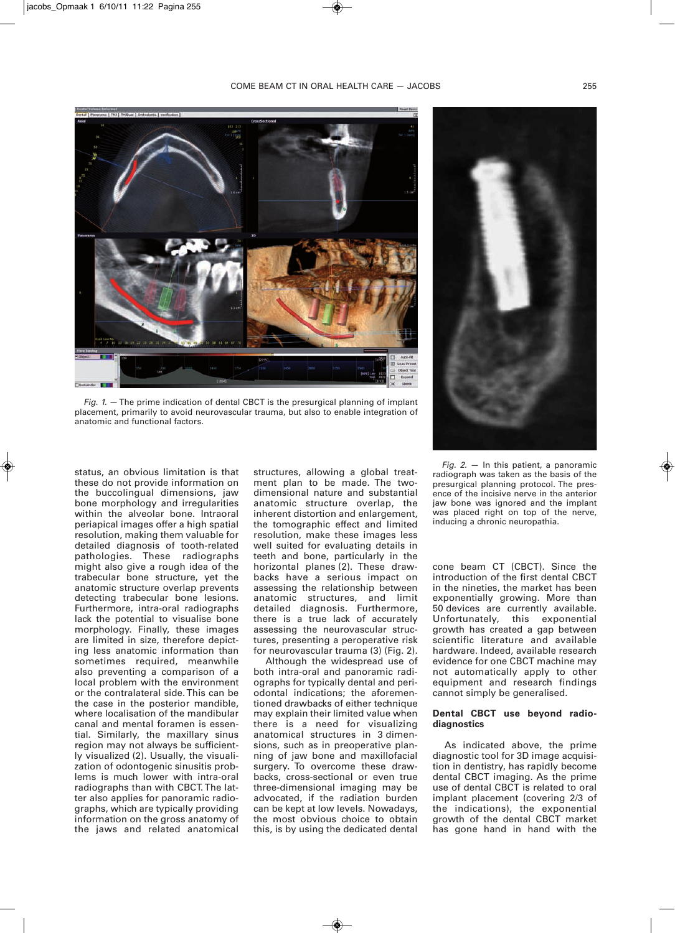



*Fig. 1.* —The prime indication of dental CBCT is the presurgical planning of implant placement, primarily to avoid neurovascular trauma, but also to enable integration of anatomic and functional factors.

status, an obvious limitation is that these do not provide information on the buccolingual dimensions, jaw bone morphology and irregularities within the alveolar bone. Intraoral periapical images offer a high spatial resolution, making them valuable for detailed diagnosis of tooth-related pathologies. These radiographs might also give a rough idea of the trabecular bone structure, yet the anatomic structure overlap prevents detecting trabecular bone lesions. Furthermore, intra-oral radiographs lack the potential to visualise bone morphology. Finally, these images are limited in size, therefore depicting less anatomic information than sometimes required, meanwhile also preventing a comparison of a local problem with the environment or the contralateral side. This can be the case in the posterior mandible, where localisation of the mandibular canal and mental foramen is essential. Similarly, the maxillary sinus region may not always be sufficiently visualized (2). Usually, the visualization of odontogenic sinusitis problems is much lower with intra-oral radiographs than with CBCT.The latter also applies for panoramic radiographs, which are typically providing information on the gross anatomy of the jaws and related anatomical structures, allowing a global treatment plan to be made. The twodimensional nature and substantial anatomic structure overlap, the inherent distortion and enlargement, the tomographic effect and limited resolution, make these images less well suited for evaluating details in teeth and bone, particularly in the horizontal planes (2). These drawbacks have a serious impact on assessing the relationship between anatomic structures, and limit detailed diagnosis. Furthermore, there is a true lack of accurately assessing the neurovascular structures, presenting a peroperative risk for neurovascular trauma (3) (Fig. 2).

Although the widespread use of both intra-oral and panoramic radiographs for typically dental and periodontal indications; the aforementioned drawbacks of either technique may explain their limited value when there is a need for visualizing anatomical structures in 3 dimensions, such as in preoperative planning of jaw bone and maxillofacial surgery. To overcome these drawbacks, cross-sectional or even true three-dimensional imaging may be advocated, if the radiation burden can be kept at low levels. Nowadays, the most obvious choice to obtain this, is by using the dedicated dental

*Fig. 2.* — In this patient, a panoramic radiograph was taken as the basis of the presurgical planning protocol. The presence of the incisive nerve in the anterior jaw bone was ignored and the implant was placed right on top of the nerve, inducing a chronic neuropathia.

cone beam CT (CBCT). Since the introduction of the first dental CBCT in the nineties, the market has been exponentially growing. More than 50 devices are currently available. Unfortunately, this exponential growth has created a gap between scientific literature and available hardware. Indeed, available research evidence for one CBCT machine may not automatically apply to other equipment and research findings cannot simply be generalised.

## **Dental CBCT use beyond radiodiagnostics**

As indicated above, the prime diagnostic tool for 3D image acquisition in dentistry, has rapidly become dental CBCT imaging. As the prime use of dental CBCT is related to oral implant placement (covering 2/3 of the indications), the exponential growth of the dental CBCT market has gone hand in hand with the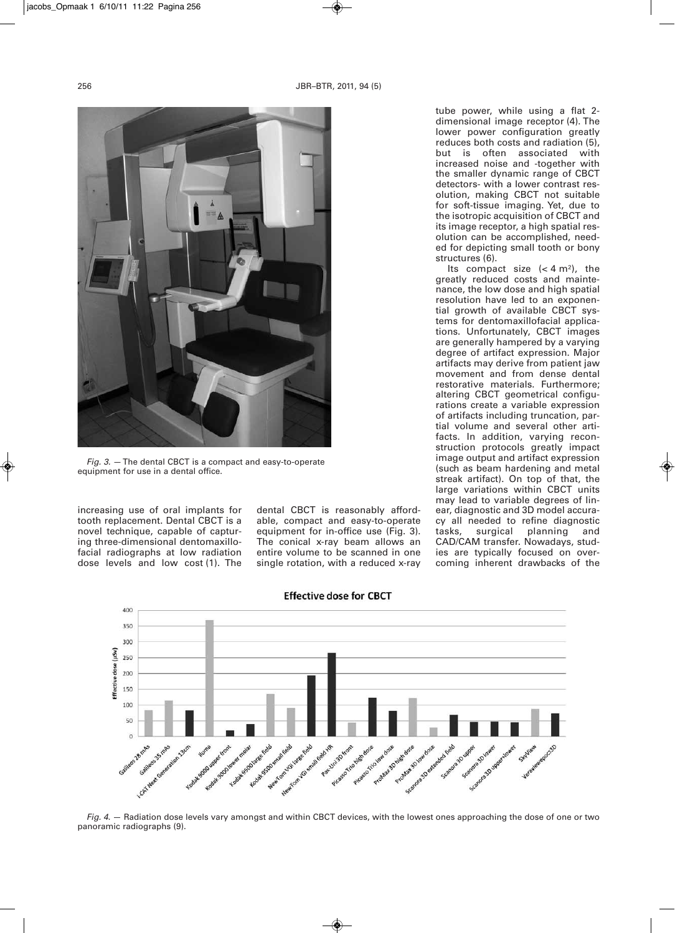

*Fig. 3.* —The dental CBCT is a compact and easy-to-operate equipment for use in a dental office.

increasing use of oral implants for tooth replacement. Dental CBCT is a novel technique, capable of capturing three-dimensional dentomaxillofacial radiographs at low radiation dose levels and low cost (1). The dental CBCT is reasonably affordable, compact and easy-to-operate equipment for in-office use (Fig. 3). The conical x-ray beam allows an entire volume to be scanned in one single rotation, with a reduced x-ray

tube power, while using a flat 2 dimensional image receptor (4). The lower power configuration greatly reduces both costs and radiation (5), but is often associated with increased noise and -together with the smaller dynamic range of CBCT detectors- with a lower contrast resolution, making CBCT not suitable for soft-tissue imaging. Yet, due to the isotropic acquisition of CBCT and its image receptor, a high spatial resolution can be accomplished, needed for depicting small tooth or bony structures (6).

Its compact size  $( $4 \text{ m}^2$ ), the$ greatly reduced costs and maintenance, the low dose and high spatial resolution have led to an exponential growth of available CBCT systems for dentomaxillofacial applications. Unfortunately, CBCT images are generally hampered by a varying degree of artifact expression. Major artifacts may derive from patient jaw movement and from dense dental restorative materials. Furthermore; altering CBCT geometrical configurations create a variable expression of artifacts including truncation, partial volume and several other artifacts. In addition, varying reconstruction protocols greatly impact image output and artifact expression (such as beam hardening and metal streak artifact). On top of that, the large variations within CBCT units may lead to variable degrees of linear, diagnostic and 3D model accuracy all needed to refine diagnostic<br>tasks, surgical planning and tasks, surgical planning and CAD/CAM transfer. Nowadays, studies are typically focused on overcoming inherent drawbacks of the



**Effective dose for CBCT** 

*Fig. 4.* — Radiation dose levels vary amongst and within CBCT devices, with the lowest ones approaching the dose of one or two panoramic radiographs (9).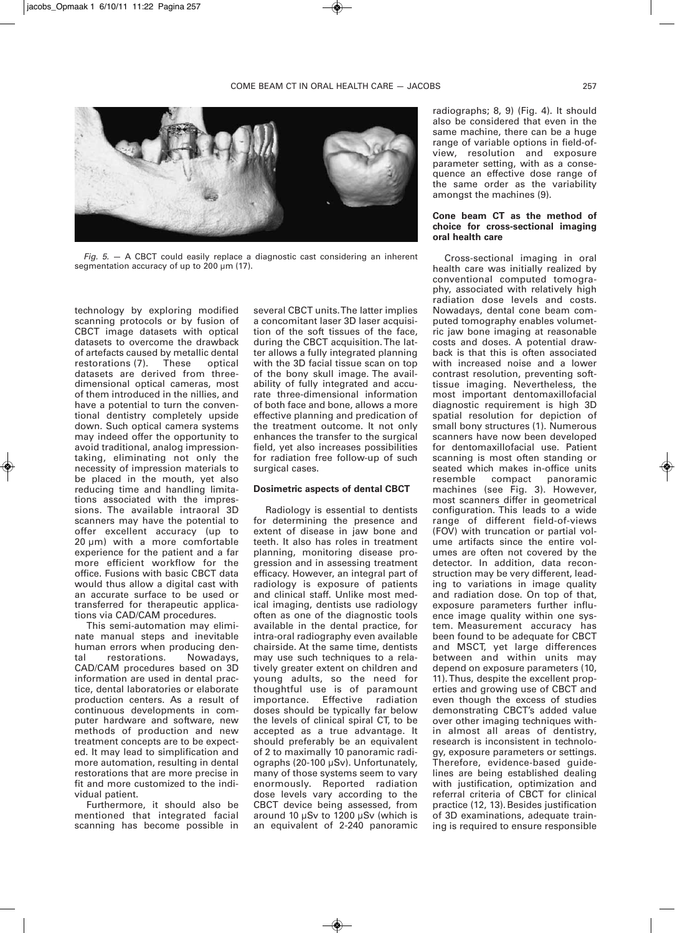

*Fig. 5.* — A CBCT could easily replace a diagnostic cast considering an inherent segmentation accuracy of up to 200 um (17).

technology by exploring modified scanning protocols or by fusion of CBCT image datasets with optical datasets to overcome the drawback of artefacts caused by metallic dental restorations (7). These optical datasets are derived from threedimensional optical cameras, most of them introduced in the nillies, and have a potential to turn the conventional dentistry completely upside down. Such optical camera systems may indeed offer the opportunity to avoid traditional, analog impressiontaking, eliminating not only the necessity of impression materials to be placed in the mouth, yet also reducing time and handling limitations associated with the impressions. The available intraoral 3D scanners may have the potential to offer excellent accuracy (up to 20 µm) with a more comfortable experience for the patient and a far more efficient workflow for the office. Fusions with basic CBCT data would thus allow a digital cast with an accurate surface to be used or transferred for therapeutic applications via CAD/CAM procedures.

This semi-automation may eliminate manual steps and inevitable human errors when producing dental restorations. Nowadays, CAD/CAM procedures based on 3D information are used in dental practice, dental laboratories or elaborate production centers. As a result of continuous developments in computer hardware and software, new methods of production and new treatment concepts are to be expected. It may lead to simplification and more automation, resulting in dental restorations that are more precise in fit and more customized to the individual patient.

Furthermore, it should also be mentioned that integrated facial scanning has become possible in several CBCT units.The latter implies a concomitant laser 3D laser acquisition of the soft tissues of the face, during the CBCT acquisition.The latter allows a fully integrated planning with the 3D facial tissue scan on top of the bony skull image. The availability of fully integrated and accurate three-dimensional information of both face and bone, allows a more effective planning and predication of the treatment outcome. It not only enhances the transfer to the surgical field, yet also increases possibilities for radiation free follow-up of such surgical cases.

#### **Dosimetric aspects of dental CBCT**

Radiology is essential to dentists for determining the presence and extent of disease in jaw bone and teeth. It also has roles in treatment planning, monitoring disease progression and in assessing treatment efficacy. However, an integral part of radiology is exposure of patients and clinical staff. Unlike most medical imaging, dentists use radiology often as one of the diagnostic tools available in the dental practice, for intra-oral radiography even available chairside. At the same time, dentists may use such techniques to a relatively greater extent on children and young adults, so the need for thoughtful use is of paramount importance. Effective radiation doses should be typically far below the levels of clinical spiral CT, to be accepted as a true advantage. It should preferably be an equivalent of 2 to maximally 10 panoramic radiographs (20-100 µSv). Unfortunately, many of those systems seem to vary enormously. Reported radiation dose levels vary according to the CBCT device being assessed, from around 10 µSv to 1200 µSv (which is an equivalent of 2-240 panoramic radiographs; 8, 9) (Fig. 4). It should also be considered that even in the same machine, there can be a huge range of variable options in field-ofview, resolution and exposure parameter setting, with as a consequence an effective dose range of the same order as the variability amongst the machines (9).

## **Cone beam CT as the method of choice for cross-sectional imaging oral health care**

Cross-sectional imaging in oral health care was initially realized by conventional computed tomography, associated with relatively high radiation dose levels and costs. Nowadays, dental cone beam computed tomography enables volumetric jaw bone imaging at reasonable costs and doses. A potential drawback is that this is often associated with increased noise and a lower contrast resolution, preventing softtissue imaging. Nevertheless, the most important dentomaxillofacial diagnostic requirement is high 3D spatial resolution for depiction of small bony structures (1). Numerous scanners have now been developed for dentomaxillofacial use. Patient scanning is most often standing or seated which makes in-office units panoramic machines (see Fig. 3). However, most scanners differ in geometrical configuration. This leads to a wide range of different field-of-views (FOV) with truncation or partial volume artifacts since the entire volumes are often not covered by the detector. In addition, data reconstruction may be very different, leading to variations in image quality and radiation dose. On top of that, exposure parameters further influence image quality within one system. Measurement accuracy has been found to be adequate for CBCT and MSCT, yet large differences between and within units may depend on exposure parameters (10, 11).Thus, despite the excellent properties and growing use of CBCT and even though the excess of studies demonstrating CBCT's added value over other imaging techniques within almost all areas of dentistry, research is inconsistent in technology, exposure parameters or settings. Therefore, evidence-based guidelines are being established dealing with justification, optimization and referral criteria of CBCT for clinical practice (12, 13).Besides justification of 3D examinations, adequate training is required to ensure responsible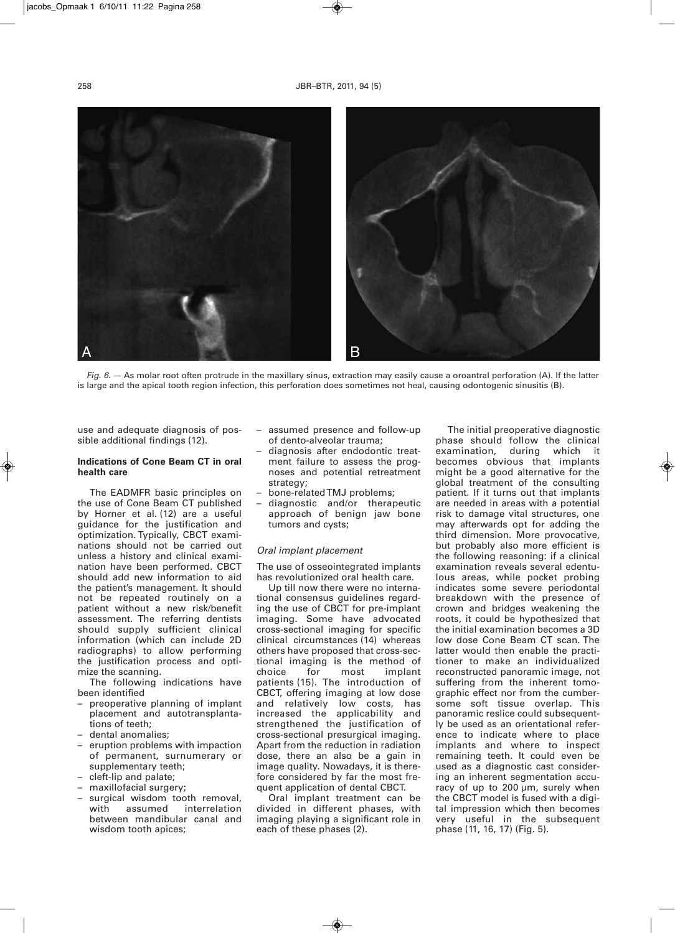

*Fig. 6.* — As molar root often protrude in the maxillary sinus, extraction may easily cause a oroantral perforation (A). If the latter is large and the apical tooth region infection, this perforation does sometimes not heal, causing odontogenic sinusitis (B).

use and adequate diagnosis of possible additional findings (12).

#### **Indications of Cone Beam CT in oral health care**

The EADMFR basic principles on the use of Cone Beam CT published by Horner et al. (12) are a useful guidance for the justification and optimization. Typically, CBCT examinations should not be carried out unless a history and clinical examination have been performed. CBCT should add new information to aid the patient's management. It should not be repeated routinely on a patient without a new risk/benefit assessment. The referring dentists should supply sufficient clinical information (which can include 2D radiographs) to allow performing the justification process and optimize the scanning.

The following indications have been identified

- preoperative planning of implant placement and autotransplantations of teeth;
- dental anomalies;
- eruption problems with impaction of permanent, surnumerary or supplementary teeth;
- cleft-lip and palate;
- maxillofacial surgery;
- surgical wisdom tooth removal,<br>with assumed interrelation assumed interrelation between mandibular canal and wisdom tooth apices;
- assumed presence and follow-up of dento-alveolar trauma;
- diagnosis after endodontic treatment failure to assess the prognoses and potential retreatment strategy;
- bone-relatedTMJ problems;
- diagnostic and/or therapeutic approach of benign jaw bone tumors and cysts;

#### *Oral implant placement*

The use of osseointegrated implants has revolutionized oral health care.

Up till now there were no international consensus guidelines regarding the use of CBCT for pre-implant imaging. Some have advocated cross-sectional imaging for specific clinical circumstances (14) whereas others have proposed that cross-sectional imaging is the method of choice for most implant patients (15). The introduction of CBCT, offering imaging at low dose and relatively low costs, has increased the applicability and strengthened the justification of cross-sectional presurgical imaging. Apart from the reduction in radiation dose, there an also be a gain in image quality. Nowadays, it is therefore considered by far the most frequent application of dental CBCT.

Oral implant treatment can be divided in different phases, with imaging playing a significant role in each of these phases (2).

The initial preoperative diagnostic phase should follow the clinical<br>examination, during which it examination, becomes obvious that implants might be a good alternative for the global treatment of the consulting patient. If it turns out that implants are needed in areas with a potential risk to damage vital structures, one may afterwards opt for adding the third dimension. More provocative, but probably also more efficient is the following reasoning: if a clinical examination reveals several edentulous areas, while pocket probing indicates some severe periodontal breakdown with the presence of crown and bridges weakening the roots, it could be hypothesized that the initial examination becomes a 3D low dose Cone Beam CT scan. The latter would then enable the practitioner to make an individualized reconstructed panoramic image, not suffering from the inherent tomographic effect nor from the cumbersome soft tissue overlap. This panoramic reslice could subsequently be used as an orientational reference to indicate where to place implants and where to inspect remaining teeth. It could even be used as a diagnostic cast considering an inherent segmentation accuracy of up to 200 µm, surely when the CBCT model is fused with a digital impression which then becomes very useful in the subsequent phase (11, 16, 17) (Fig. 5).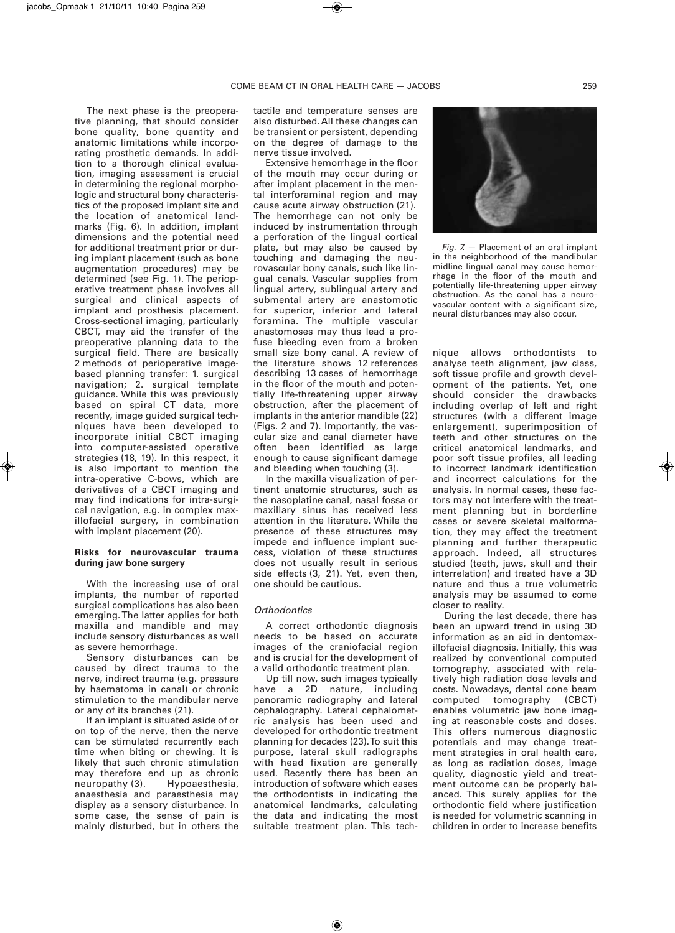The next phase is the preoperative planning, that should consider bone quality, bone quantity and anatomic limitations while incorporating prosthetic demands. In addition to a thorough clinical evaluation, imaging assessment is crucial in determining the regional morphologic and structural bony characteristics of the proposed implant site and the location of anatomical landmarks (Fig. 6). In addition, implant dimensions and the potential need for additional treatment prior or during implant placement (such as bone augmentation procedures) may be determined (see Fig. 1). The perioperative treatment phase involves all surgical and clinical aspects of implant and prosthesis placement. Cross-sectional imaging, particularly CBCT, may aid the transfer of the preoperative planning data to the surgical field. There are basically 2 methods of perioperative imagebased planning transfer: 1. surgical navigation; 2. surgical template guidance. While this was previously based on spiral CT data, more recently, image guided surgical techniques have been developed to incorporate initial CBCT imaging into computer-assisted operative strategies (18, 19). In this respect, it is also important to mention the intra-operative C-bows, which are derivatives of a CBCT imaging and may find indications for intra-surgical navigation, e.g. in complex maxillofacial surgery, in combination with implant placement (20).

## **Risks for neurovascular trauma during jaw bone surgery**

With the increasing use of oral implants, the number of reported surgical complications has also been emerging. The latter applies for both maxilla and mandible and may include sensory disturbances as well as severe hemorrhage.

Sensory disturbances can be caused by direct trauma to the nerve, indirect trauma (e.g. pressure by haematoma in canal) or chronic stimulation to the mandibular nerve or any of its branches (21).

If an implant is situated aside of or on top of the nerve, then the nerve can be stimulated recurrently each time when biting or chewing. It is likely that such chronic stimulation may therefore end up as chronic neuropathy (3). Hypoaesthesia, anaesthesia and paraesthesia may display as a sensory disturbance. In some case, the sense of pain is mainly disturbed, but in others the

tactile and temperature senses are also disturbed.All these changes can be transient or persistent, depending on the degree of damage to the nerve tissue involved.

Extensive hemorrhage in the floor of the mouth may occur during or after implant placement in the mental interforaminal region and may cause acute airway obstruction (21). The hemorrhage can not only be induced by instrumentation through a perforation of the lingual cortical plate, but may also be caused by touching and damaging the neurovascular bony canals, such like lingual canals. Vascular supplies from lingual artery, sublingual artery and submental artery are anastomotic for superior, inferior and lateral foramina. The multiple vascular anastomoses may thus lead a profuse bleeding even from a broken small size bony canal. A review of the literature shows 12 references describing 13 cases of hemorrhage in the floor of the mouth and potentially life-threatening upper airway obstruction, after the placement of implants in the anterior mandible (22) (Figs. 2 and 7). Importantly, the vascular size and canal diameter have often been identified as large enough to cause significant damage and bleeding when touching (3).

In the maxilla visualization of pertinent anatomic structures, such as the nasoplatine canal, nasal fossa or maxillary sinus has received less attention in the literature. While the presence of these structures may impede and influence implant success, violation of these structures does not usually result in serious side effects (3, 21). Yet, even then, one should be cautious.

## *Orthodontics*

A correct orthodontic diagnosis needs to be based on accurate images of the craniofacial region and is crucial for the development of a valid orthodontic treatment plan.

Up till now, such images typically have a 2D nature, including panoramic radiography and lateral cephalography. Lateral cephalometric analysis has been used and developed for orthodontic treatment planning for decades (23). To suit this purpose, lateral skull radiographs with head fixation are generally used. Recently there has been an introduction of software which eases the orthodontists in indicating the anatomical landmarks, calculating the data and indicating the most suitable treatment plan. This tech-



*Fig. 7.* — Placement of an oral implant in the neighborhood of the mandibular midline lingual canal may cause hemorrhage in the floor of the mouth and potentially life-threatening upper airway obstruction. As the canal has a neurovascular content with a significant size, neural disturbances may also occur.

nique allows orthodontists to analyse teeth alignment, jaw class, soft tissue profile and growth development of the patients. Yet, one should consider the drawbacks including overlap of left and right structures (with a different image enlargement), superimposition of teeth and other structures on the critical anatomical landmarks, and poor soft tissue profiles, all leading to incorrect landmark identification and incorrect calculations for the analysis. In normal cases, these factors may not interfere with the treatment planning but in borderline cases or severe skeletal malformation, they may affect the treatment planning and further therapeutic approach. Indeed, all structures studied (teeth, jaws, skull and their interrelation) and treated have a 3D nature and thus a true volumetric analysis may be assumed to come closer to reality.

During the last decade, there has been an upward trend in using 3D information as an aid in dentomaxillofacial diagnosis. Initially, this was realized by conventional computed tomography, associated with relatively high radiation dose levels and costs. Nowadays, dental cone beam computed tomography (CBCT) enables volumetric jaw bone imaging at reasonable costs and doses. This offers numerous diagnostic potentials and may change treatment strategies in oral health care, as long as radiation doses, image quality, diagnostic yield and treatment outcome can be properly balanced. This surely applies for the orthodontic field where justification is needed for volumetric scanning in children in order to increase benefits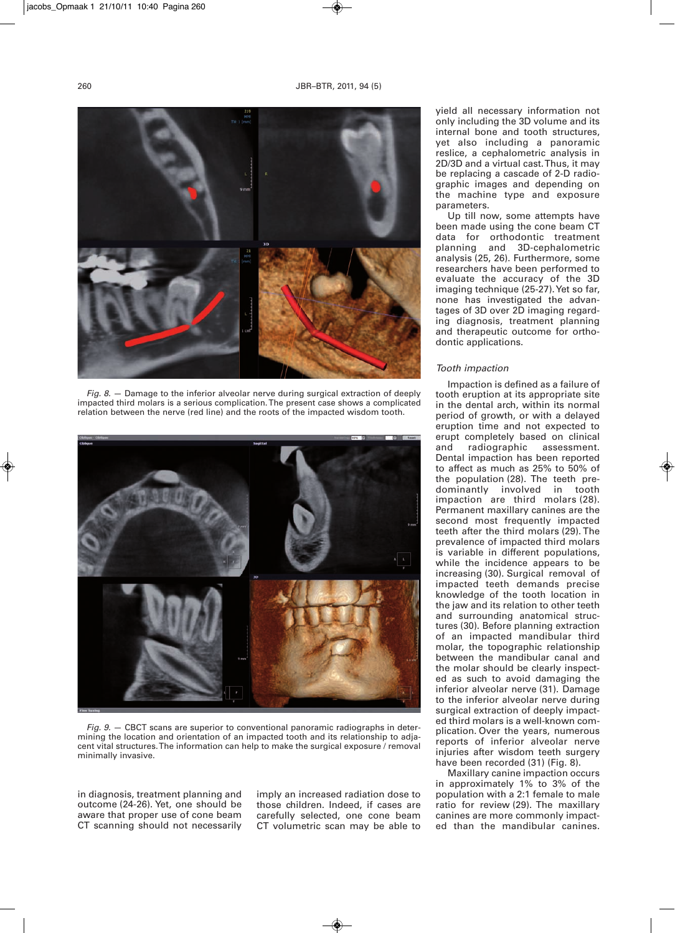

*Fig. 8.* — Damage to the inferior alveolar nerve during surgical extraction of deeply impacted third molars is a serious complication. The present case shows a complicated relation between the nerve (red line) and the roots of the impacted wisdom tooth.



*Fig. 9.* — CBCT scans are superior to conventional panoramic radiographs in determining the location and orientation of an impacted tooth and its relationship to adjacent vital structures. The information can help to make the surgical exposure / removal minimally invasive.

in diagnosis, treatment planning and outcome (24-26). Yet, one should be aware that proper use of cone beam CT scanning should not necessarily imply an increased radiation dose to those children. Indeed, if cases are carefully selected, one cone beam CT volumetric scan may be able to

yield all necessary information not only including the 3D volume and its internal bone and tooth structures, yet also including a panoramic reslice, a cephalometric analysis in 2D/3D and a virtual cast. Thus, it may be replacing a cascade of 2-D radiographic images and depending on the machine type and exposure parameters.

Up till now, some attempts have been made using the cone beam CT data for orthodontic treatment<br>planning and 3D-cephalometric and 3D-cephalometric analysis (25, 26). Furthermore, some researchers have been performed to evaluate the accuracy of the 3D imaging technique (25-27). Yet so far, none has investigated the advantages of 3D over 2D imaging regarding diagnosis, treatment planning and therapeutic outcome for orthodontic applications.

## *Tooth impaction*

Impaction is defined as a failure of tooth eruption at its appropriate site in the dental arch, within its normal period of growth, or with a delayed eruption time and not expected to erupt completely based on clinical and radiographic assessment. Dental impaction has been reported to affect as much as 25% to 50% of the population (28). The teeth predominantly involved in tooth impaction are third molars (28). Permanent maxillary canines are the second most frequently impacted teeth after the third molars (29). The prevalence of impacted third molars is variable in different populations, while the incidence appears to be increasing (30). Surgical removal of impacted teeth demands precise knowledge of the tooth location in the jaw and its relation to other teeth and surrounding anatomical structures (30). Before planning extraction of an impacted mandibular third molar, the topographic relationship between the mandibular canal and the molar should be clearly inspected as such to avoid damaging the inferior alveolar nerve (31). Damage to the inferior alveolar nerve during surgical extraction of deeply impacted third molars is a well-known complication. Over the years, numerous reports of inferior alveolar nerve injuries after wisdom teeth surgery have been recorded (31) (Fig. 8).

Maxillary canine impaction occurs in approximately 1% to 3% of the population with a 2:1 female to male ratio for review (29). The maxillary canines are more commonly impacted than the mandibular canines.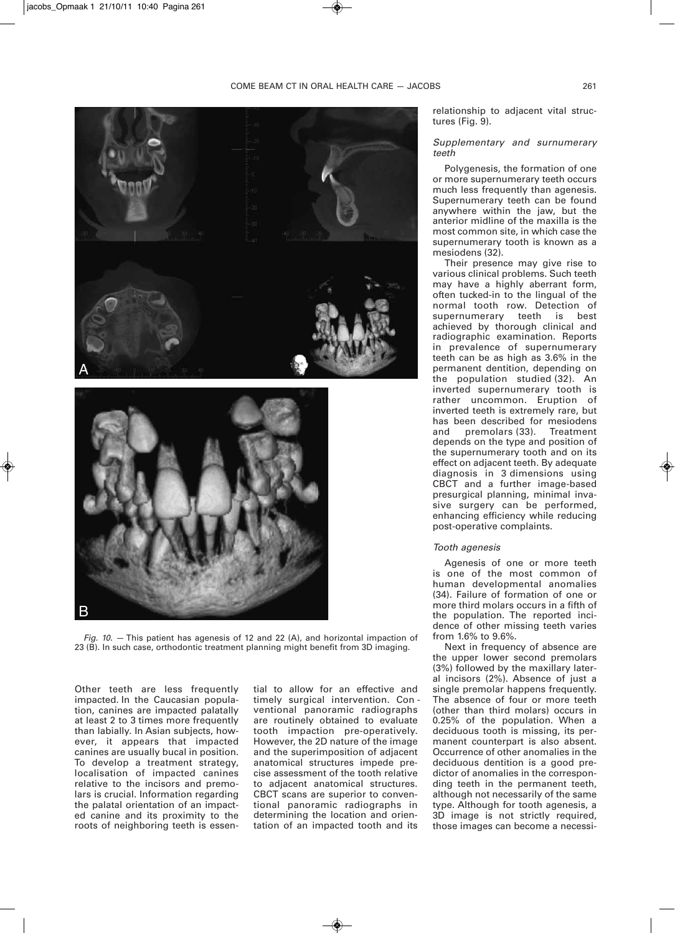

*Fig. 10.* — This patient has agenesis of 12 and 22 (A), and horizontal impaction of 23 (B). In such case, orthodontic treatment planning might benefit from 3D imaging.

Other teeth are less frequently impacted. In the Caucasian population, canines are impacted palatally at least 2 to 3 times more frequently than labially. In Asian subjects, however, it appears that impacted canines are usually bucal in position. To develop a treatment strategy, localisation of impacted canines relative to the incisors and premolars is crucial. Information regarding the palatal orientation of an impacted canine and its proximity to the roots of neighboring teeth is essential to allow for an effective and timely surgical intervention. Con ventional panoramic radiographs are routinely obtained to evaluate tooth impaction pre-operatively. However, the 2D nature of the image and the superimposition of adjacent anatomical structures impede precise assessment of the tooth relative to adjacent anatomical structures. CBCT scans are superior to conventional panoramic radiographs in determining the location and orientation of an impacted tooth and its

relationship to adjacent vital structures (Fig. 9).

## *Supplementary and surnumerary teeth*

Polygenesis, the formation of one or more supernumerary teeth occurs much less frequently than agenesis. Supernumerary teeth can be found anywhere within the jaw, but the anterior midline of the maxilla is the most common site, in which case the supernumerary tooth is known as a mesiodens (32).

Their presence may give rise to various clinical problems. Such teeth may have a highly aberrant form, often tucked-in to the lingual of the normal tooth row. Detection of supernumerary teeth is best achieved by thorough clinical and radiographic examination. Reports in prevalence of supernumerary teeth can be as high as 3.6% in the permanent dentition, depending on the population studied (32). An inverted supernumerary tooth is rather uncommon. Eruption of inverted teeth is extremely rare, but has been described for mesiodens<br>and premolars (33). Treatment premolars (33). depends on the type and position of the supernumerary tooth and on its effect on adjacent teeth. By adequate diagnosis in 3 dimensions using CBCT and a further image-based presurgical planning, minimal invasive surgery can be performed, enhancing efficiency while reducing post-operative complaints.

#### *Tooth agenesis*

Agenesis of one or more teeth is one of the most common of human developmental anomalies (34). Failure of formation of one or more third molars occurs in a fifth of the population. The reported incidence of other missing teeth varies from 1.6% to 9.6%.

Next in frequency of absence are the upper lower second premolars (3%) followed by the maxillary lateral incisors (2%). Absence of just a single premolar happens frequently. The absence of four or more teeth (other than third molars) occurs in 0.25% of the population. When a deciduous tooth is missing, its permanent counterpart is also absent. Occurrence of other anomalies in the deciduous dentition is a good predictor of anomalies in the corresponding teeth in the permanent teeth, although not necessarily of the same type. Although for tooth agenesis, a 3D image is not strictly required, those images can become a necessi-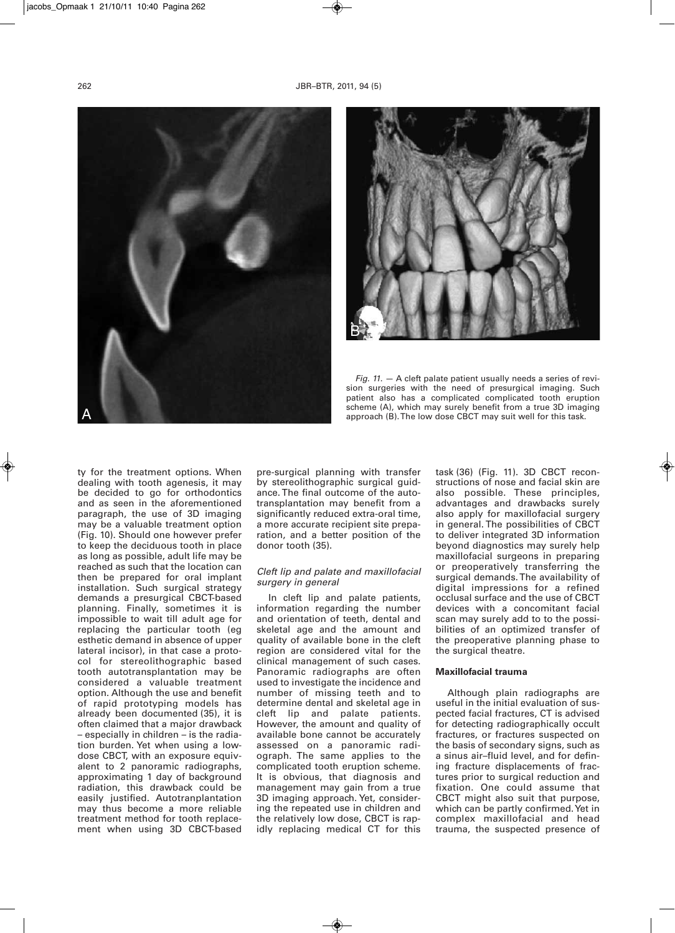



*Fig. 11*. — A cleft palate patient usually needs a series of revision surgeries with the need of presurgical imaging. Such patient also has a complicated complicated tooth eruption scheme (A), which may surely benefit from a true 3D imaging approach (B). The low dose CBCT may suit well for this task.

ty for the treatment options. When dealing with tooth agenesis, it may be decided to go for orthodontics and as seen in the aforementioned paragraph, the use of 3D imaging may be a valuable treatment option (Fig. 10). Should one however prefer to keep the deciduous tooth in place as long as possible, adult life may be reached as such that the location can then be prepared for oral implant installation. Such surgical strategy demands a presurgical CBCT-based planning. Finally, sometimes it is impossible to wait till adult age for replacing the particular tooth (eg esthetic demand in absence of upper lateral incisor), in that case a protocol for stereolithographic based tooth autotransplantation may be considered a valuable treatment option. Although the use and benefit of rapid prototyping models has already been documented (35), it is often claimed that a major drawback – especially in children – is the radiation burden. Yet when using a lowdose CBCT, with an exposure equivalent to 2 panoramic radiographs, approximating 1 day of background radiation, this drawback could be easily justified. Autotranplantation may thus become a more reliable treatment method for tooth replacement when using 3D CBCT-based

pre-surgical planning with transfer by stereolithographic surgical guidance. The final outcome of the autotransplantation may benefit from a significantly reduced extra-oral time, a more accurate recipient site preparation, and a better position of the donor tooth (35).

#### *Cleft lip and palate and maxillofacial surgery in general*

In cleft lip and palate patients, information regarding the number and orientation of teeth, dental and skeletal age and the amount and quality of available bone in the cleft region are considered vital for the clinical management of such cases. Panoramic radiographs are often used to investigate the incidence and number of missing teeth and to determine dental and skeletal age in<br>cleft lip and palate patients. palate patients. However, the amount and quality of available bone cannot be accurately assessed on a panoramic radiograph. The same applies to the complicated tooth eruption scheme. It is obvious, that diagnosis and management may gain from a true 3D imaging approach. Yet, considering the repeated use in children and the relatively low dose, CBCT is rapidly replacing medical CT for this task (36) (Fig. 11). 3D CBCT reconstructions of nose and facial skin are also possible. These principles, advantages and drawbacks surely also apply for maxillofacial surgery in general. The possibilities of CBCT to deliver integrated 3D information beyond diagnostics may surely help maxillofacial surgeons in preparing or preoperatively transferring the surgical demands. The availability of digital impressions for a refined occlusal surface and the use of CBCT devices with a concomitant facial scan may surely add to to the possibilities of an optimized transfer of the preoperative planning phase to the surgical theatre.

## **Maxillofacial trauma**

Although plain radiographs are useful in the initial evaluation of suspected facial fractures, CT is advised for detecting radiographically occult fractures, or fractures suspected on the basis of secondary signs, such as a sinus air–fluid level, and for defining fracture displacements of fractures prior to surgical reduction and fixation. One could assume that CBCT might also suit that purpose, which can be partly confirmed. Yet in complex maxillofacial and head trauma, the suspected presence of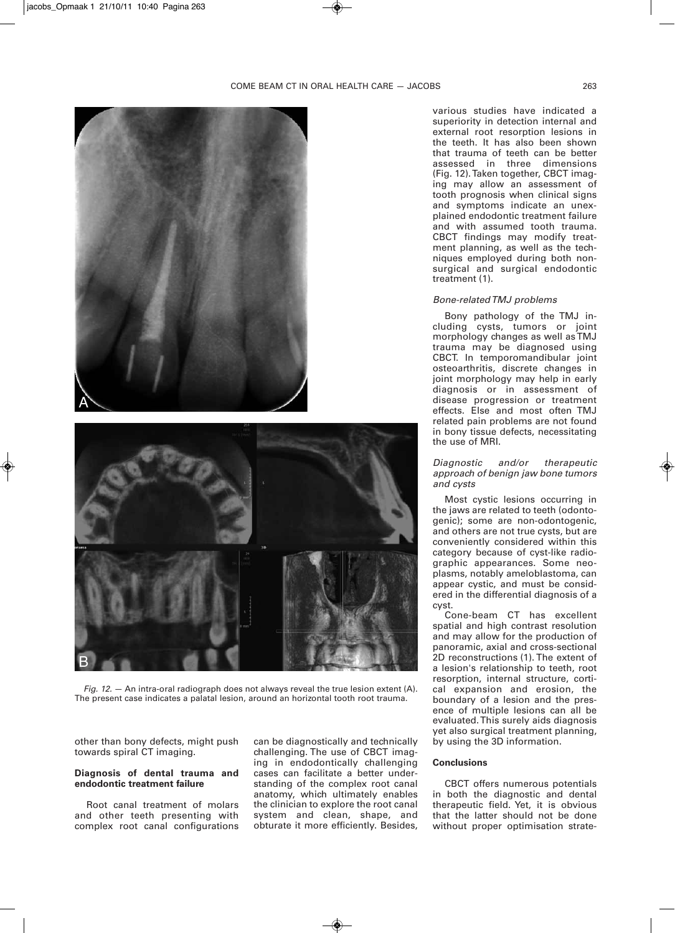



*Fig. 12.* — An intra-oral radiograph does not always reveal the true lesion extent (A). The present case indicates a palatal lesion, around an horizontal tooth root trauma.

other than bony defects, might push towards spiral CT imaging.

## **Diagnosis of dental trauma and endodontic treatment failure**

Root canal treatment of molars and other teeth presenting with complex root canal configurations

can be diagnostically and technically challenging. The use of CBCT imaging in endodontically challenging cases can facilitate a better understanding of the complex root canal anatomy, which ultimately enables the clinician to explore the root canal system and clean, shape, and obturate it more efficiently. Besides,

various studies have indicated a superiority in detection internal and external root resorption lesions in the teeth. It has also been shown that trauma of teeth can be better assessed in three dimensions (Fig. 12). Taken together, CBCT imaging may allow an assessment of tooth prognosis when clinical signs and symptoms indicate an unexplained endodontic treatment failure and with assumed tooth trauma. CBCT findings may modify treatment planning, as well as the techniques employed during both nonsurgical and surgical endodontic treatment (1).

#### *Bone-related TMJ problems*

Bony pathology of the TMJ including cysts, tumors or joint morphology changes as well as TMJ trauma may be diagnosed using CBCT. In temporomandibular joint osteoarthritis, discrete changes in joint morphology may help in early diagnosis or in assessment of disease progression or treatment effects. Else and most often TMJ related pain problems are not found in bony tissue defects, necessitating the use of MRI.

## *Diagnostic and/or therapeutic approach of benign jaw bone tumors and cysts*

Most cystic lesions occurring in the jaws are related to teeth (odontogenic); some are non-odontogenic, and others are not true cysts, but are conveniently considered within this category because of cyst-like radiographic appearances. Some neoplasms, notably ameloblastoma, can appear cystic, and must be considered in the differential diagnosis of a cyst.

Cone-beam CT has excellent spatial and high contrast resolution and may allow for the production of panoramic, axial and cross-sectional 2D reconstructions (1). The extent of a lesion's relationship to teeth, root resorption, internal structure, cortical expansion and erosion, the boundary of a lesion and the presence of multiple lesions can all be evaluated. This surely aids diagnosis yet also surgical treatment planning, by using the 3D information.

#### **Conclusions**

CBCT offers numerous potentials in both the diagnostic and dental therapeutic field. Yet, it is obvious that the latter should not be done without proper optimisation strate-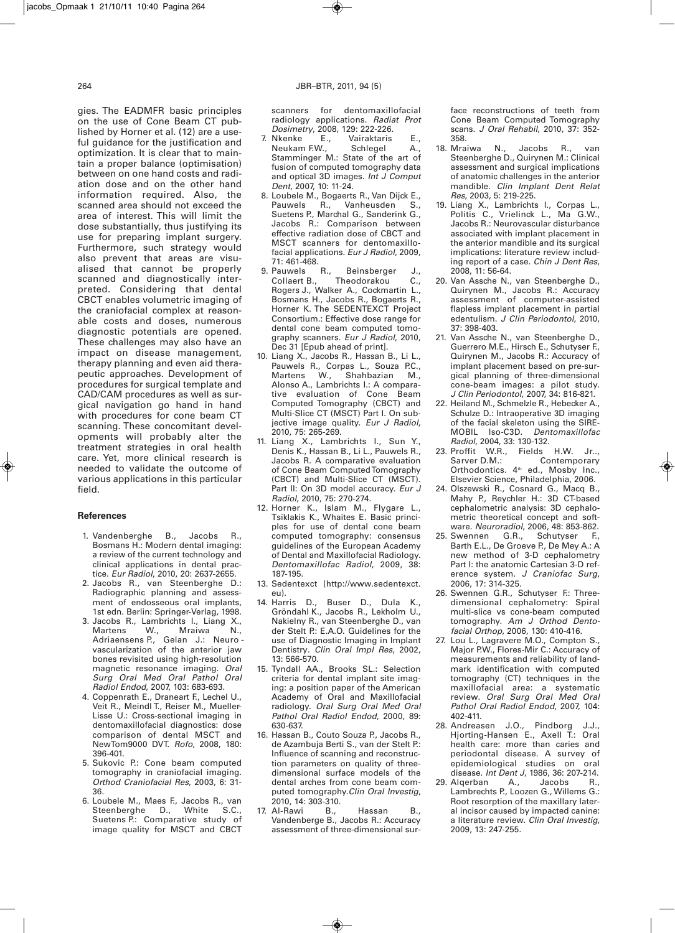gies. The EADMFR basic principles on the use of Cone Beam CT published by Horner et al. (12) are a useful guidance for the justification and optimization. It is clear that to maintain a proper balance (optimisation) between on one hand costs and radiation dose and on the other hand information required. Also, the scanned area should not exceed the area of interest. This will limit the dose substantially, thus justifying its use for preparing implant surgery. Furthermore, such strategy would also prevent that areas are visualised that cannot be properly scanned and diagnostically interpreted. Considering that dental CBCT enables volumetric imaging of the craniofacial complex at reasonable costs and doses, numerous diagnostic potentials are opened. These challenges may also have an impact on disease management, therapy planning and even aid therapeutic approaches. Development of procedures for surgical template and CAD/CAM procedures as well as surgical navigation go hand in hand with procedures for cone beam CT scanning. These concomitant developments will probably alter the treatment strategies in oral health care. Yet, more clinical research is needed to validate the outcome of various applications in this particular

#### **References**

field.

- 1. Vandenberghe B., Jacobs R., Bosmans H.: Modern dental imaging: a review of the current technology and clinical applications in dental practice. *Eur Radiol*, 2010, 20: 2637-2655.
- 2. Jacobs R., van Steenberghe D.: Radiographic planning and assessment of endosseous oral implants, 1st edn. Berlin: Springer-Verlag, 1998.
- 3. Jacobs R., Lambrichts I., Liang X.,<br>Martens W., Mraiwa N., Mraiwa N., Adriaensens P., Gelan J.: Neuro vascularization of the anterior jaw bones revisited using high-resolution magnetic resonance imaging. *Oral Surg Oral Med Oral Pathol Oral Radiol Endod*, 2007, 103: 683-693.
- 4. Coppenrath E., Draneart F., Lechel U., Veit R., Meindl T., Reiser M., Mueller-Lisse U.: Cross-sectional imaging in dentomaxillofacial diagnostics: dose comparison of dental MSCT and NewTom9000 DVT. *Rofo*, 2008, 180: 396-401.
- 5. Sukovic P.: Cone beam computed tomography in craniofacial imaging*. Orthod Craniofacial Res*, 2003, 6: 31- 36.
- 6. Loubele M., Maes F., Jacobs R., van Steenberghe D., White S.C., Suetens P.: Comparative study of image quality for MSCT and CBCT

scanners for dentomaxillofacial radio logy applications. *Radiat Prot*

- *Dosimetry*, 2008, 129: 222-226. Vairaktaris E.,<br>Schlegel A., Neukam F.W., Stamminger M.: State of the art of fusion of computed tomography data and optical 3D images. *Int J Comput Dent*, 2007, 10: 11-24.
- 8. Loubele M., Bogaerts R., Van Dijck E.,<br>Pauwels R., Vanheusden S., Pauwels R., Vanheusden Suetens P., Marchal G., Sanderink G., Jacobs R.: Comparison between effective radiation dose of CBCT and MSCT scanners for dentomaxillofacial applications. *Eur J Radiol*, 2009, 71: 461-468.
- 9. Pauwels R., Beinsberger J., Collaert B., Theodorakou C., Rogers J., Walker A., Cockmartin L., Bosmans H., Jacobs R., Bogaerts R., Horner K. The SEDENTEXCT Project Consortium.: Effective dose range for dental cone beam computed tomography scanners. *Eur J Radiol*, 2010, Dec 31 [Epub ahead of print].
- 10. Liang X., Jacobs R., Hassan B., Li L., Pauwels R., Corpas L., Souza P.C., Martens W., Shahbazian M., Alonso A., Lambrichts I.: A comparative evaluation of Cone Beam Computed Tomography (CBCT) and Multi-Slice CT (MSCT) Part I. On subjective image quality. *Eur J Radiol*, 2010, 75: 265-269.
- 11. Liang X., Lambrichts I., Sun Y., Denis K., Hassan B., Li L., Pauwels R., Jacobs R. A comparative evaluation of Cone Beam Computed Tomography (CBCT) and Multi-Slice CT (MSCT). Part II: On 3D model accuracy. *Eur J Radiol*, 2010, 75: 270-274.
- 12. Horner K., Islam M., Flygare L., Tsiklakis K., Whaites E. Basic principles for use of dental cone beam computed tomography: consensus guidelines of the European Academy of Dental and Maxillofacial Radiology. *Dentomaxillofac Radiol*, 2009, 38: 187-195.
- 13. Sedentexct (http://www.sedentexct. eu).
- 14. Harris D., Buser D., Dula K., Gröndahl K., Jacobs R., Lekholm U., Nakielny R., van Steenberghe D., van der Stelt P.: E.A.O. Guidelines for the use of Diagnostic Imaging in Implant Dentistry*. Clin Oral Impl Res*, 2002, 13: 566-570.
- 15. Tyndall AA., Brooks SL.: Selection criteria for dental implant site imaging: a position paper of the American Academy of Oral and Maxillofacial radiology. *Oral Surg Oral Med Oral Pathol Oral Radiol Endod*, 2000, 89: 630-637.
- 16. Hassan B., Couto Souza P., Jacobs R., de Azambuja Berti S., van der Stelt P.: Influence of scanning and reconstruction parameters on quality of threedimensional surface models of the dental arches from cone beam computed tomography.*Clin Oral Investig*, 2010, 14: 303-310.<br>Al-Rawi B.,
- 17. Al-Rawi B., Hassan B., Vandenberge B., Jacobs R.: Accuracy assessment of three-dimensional sur-

face reconstructions of teeth from Cone Beam Computed Tomography scans. *J Oral Rehabil*, 2010, 37: 352-

- 358.<br>18. Mraiwa 18. Mraiwa N., Jacobs R., van Steenberghe D., Quirynen M.: Clinical assessment and surgical implications of anatomic challenges in the anterior mandible. *Clin Implant Dent Relat Res*, 2003, 5: 219-225.
- 19. Liang X., Lambrichts I., Corpas L., Politis C., Vrielinck L., Ma G.W., Jacobs R.: Neurovascular disturbance associated with implant placement in the anterior mandible and its surgical implications: literature review including report of a case. *Chin J Dent Res*, 2008, 11: 56-64.
- 20. Van Assche N., van Steenberghe D., Quirynen M., Jacobs R.: Accuracy assessment of computer-assisted flapless implant placement in partial edentulism. *J Clin Periodontol*, 2010, 37: 398-403.
- 21. Van Assche N., van Steenberghe D., Guerrero M.E., Hirsch E., Schutyser F., Quirynen M., Jacobs R.: Accuracy of implant placement based on pre-surgical planning of three-dimensional cone-beam images: a pilot study. *J Clin Periodontol*, 2007, 34: 816-821.
- 22. Heiland M., Schmelzle R., Hebecker A., Schulze D.: Intraoperative 3D imaging of the facial skeleton using the SIRE-MOBIL Iso-C3D. *Dentomaxillofac Radiol*, 2004, 33: 130-132.
- 23. Proffit W.R., Fields H.W. Jr..,<br>Sarver D.M.: Contemporary Contemporary Orthodontics. 4<sup>th</sup> ed., Mosby Inc., Elsevier Science, Philadelphia, 2006.
- 24. Olszewski R., Cosnard G., Macq B., Mahy P., Reychler H.: 3D CT-based cephalometric analysis: 3D cephalometric theoretical concept and software. *Neuroradiol*, 2006, 48: 853-862.
- 25. Swennen G.R., Schutyser F., Barth E.L., De Groeve P., De Mey A.: A new method of 3-D cephalometry Part I: the anatomic Cartesian 3-D reference system. *J Craniofac Surg*, 2006, 17: 314-325.
- 26. Swennen G.R., Schutyser F.: Threedimensional cephalometry: Spiral multi-slice vs cone-beam computed tomography. *Am J Orthod Dento facial Orthop*, 2006, 130: 410-416.
- 27. Lou L., Lagravere M.O., Compton S., Major P.W., Flores-Mir C.: Accuracy of measurements and reliability of landmark identification with computed tomography (CT) techniques in the maxillofacial area: a systematic review. *Oral Surg Oral Med Oral Pathol Oral Radiol Endod*, 2007, 104: 402-411.
- 28. Andreasen J.O., Pindborg J.J., Hjorting-Hansen E., Axell T.: Oral health care: more than caries and periodontal disease. A survey of epidemiological studies on oral disease. *Int Dent J*, 1986, 36: 207-214.
- 29. Algerban Lambrechts P., Loozen G., Willems G.: Root resorption of the maxillary lateral incisor caused by impacted canine: a literature review. *Clin Oral Investig*, 2009, 13: 247-255.